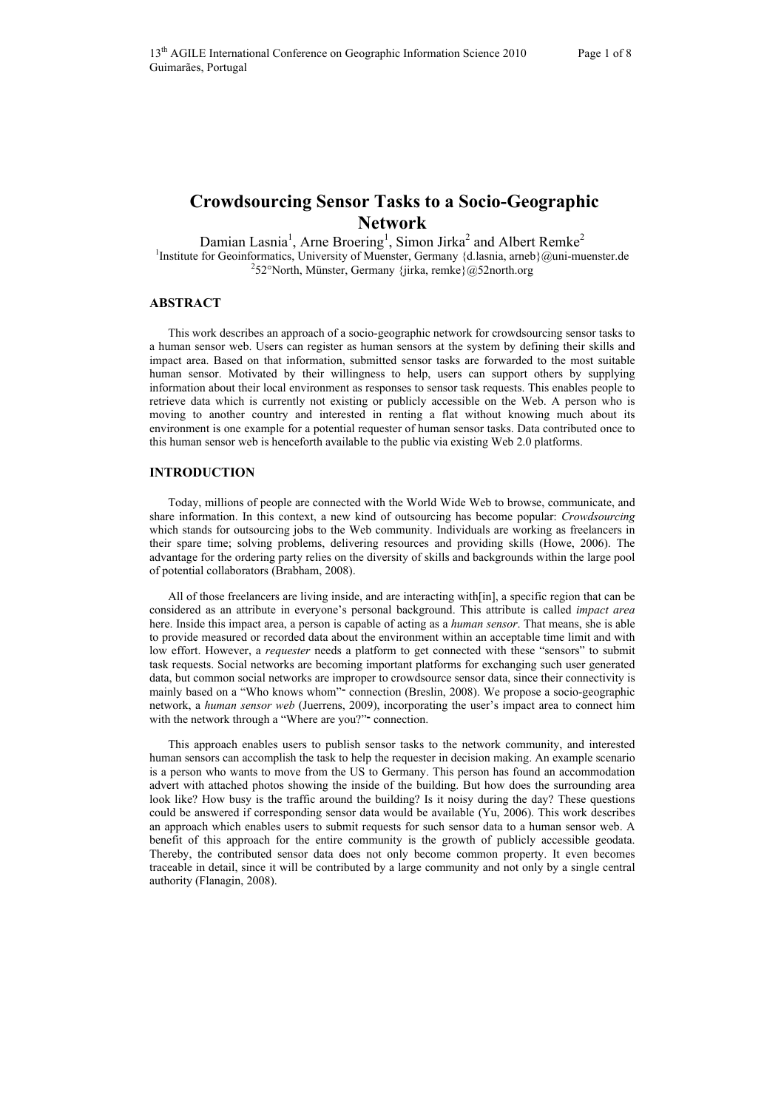# **Crowdsourcing Sensor Tasks to a Socio-Geographic Network**

Damian Lasnia<sup>1</sup>, Arne Broering<sup>1</sup>, Simon Jirka<sup>2</sup> and Albert Remke<sup>2</sup> Institute for Geoinformatics, University of Muenster, Germany {d.lasnia, arneb}@uni-muenster.de <sup>2</sup>52°North, Münster, Germany {jirka, remke}@52north.org

### **ABSTRACT**

This work describes an approach of a socio-geographic network for crowdsourcing sensor tasks to a human sensor web. Users can register as human sensors at the system by defining their skills and impact area. Based on that information, submitted sensor tasks are forwarded to the most suitable human sensor. Motivated by their willingness to help, users can support others by supplying information about their local environment as responses to sensor task requests. This enables people to retrieve data which is currently not existing or publicly accessible on the Web. A person who is moving to another country and interested in renting a flat without knowing much about its environment is one example for a potential requester of human sensor tasks. Data contributed once to this human sensor web is henceforth available to the public via existing Web 2.0 platforms.

#### **INTRODUCTION**

Today, millions of people are connected with the World Wide Web to browse, communicate, and share information. In this context, a new kind of outsourcing has become popular: *Crowdsourcing* which stands for outsourcing jobs to the Web community. Individuals are working as freelancers in their spare time; solving problems, delivering resources and providing skills (Howe, 2006). The advantage for the ordering party relies on the diversity of skills and backgrounds within the large pool of potential collaborators (Brabham, 2008).

All of those freelancers are living inside, and are interacting with [in], a specific region that can be considered as an attribute in everyone's personal background. This attribute is called *impact area* here. Inside this impact area, a person is capable of acting as a *human sensor*. That means, she is able to provide measured or recorded data about the environment within an acceptable time limit and with low effort. However, a *requester* needs a platform to get connected with these "sensors" to submit task requests. Social networks are becoming important platforms for exchanging such user generated data, but common social networks are improper to crowdsource sensor data, since their connectivity is mainly based on a "Who knows whom" connection (Breslin, 2008). We propose a socio-geographic network, a *human sensor web* (Juerrens, 2009), incorporating the user's impact area to connect him with the network through a "Where are you?" connection.

This approach enables users to publish sensor tasks to the network community, and interested human sensors can accomplish the task to help the requester in decision making. An example scenario is a person who wants to move from the US to Germany. This person has found an accommodation advert with attached photos showing the inside of the building. But how does the surrounding area look like? How busy is the traffic around the building? Is it noisy during the day? These questions could be answered if corresponding sensor data would be available (Yu, 2006). This work describes an approach which enables users to submit requests for such sensor data to a human sensor web. A benefit of this approach for the entire community is the growth of publicly accessible geodata. Thereby, the contributed sensor data does not only become common property. It even becomes traceable in detail, since it will be contributed by a large community and not only by a single central authority (Flanagin, 2008).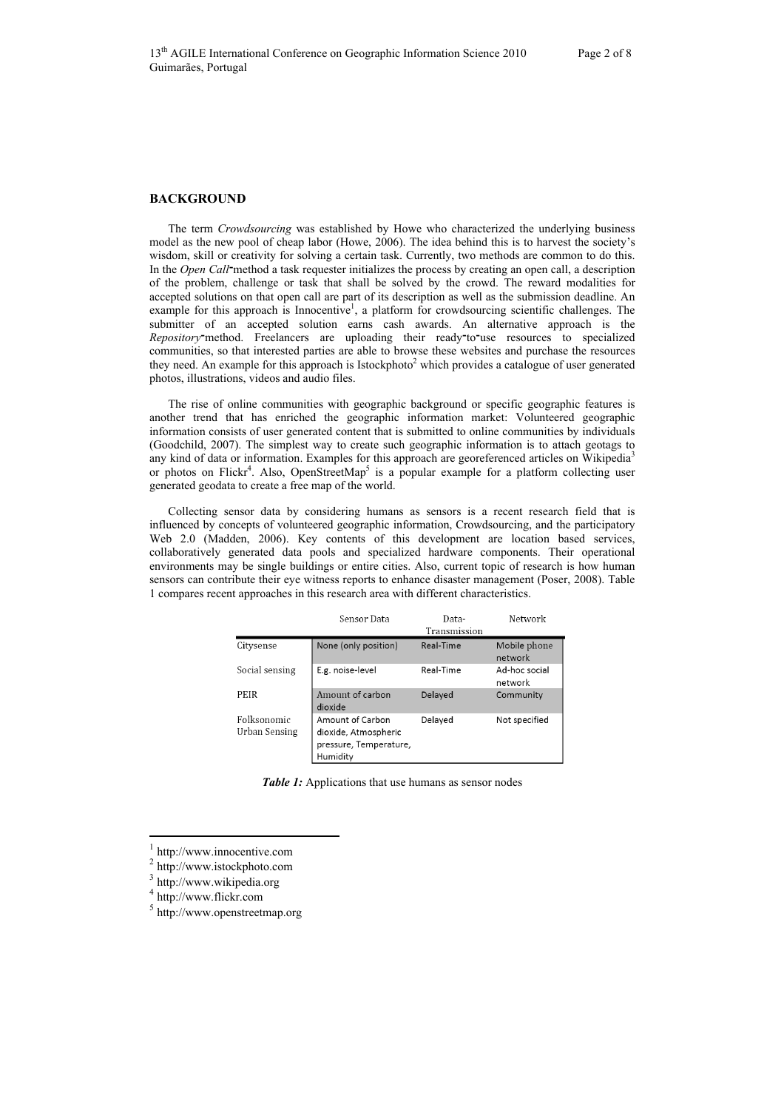#### **BACKGROUND**

The term *Crowdsourcing* was established by Howe who characterized the underlying business model as the new pool of cheap labor (Howe, 2006). The idea behind this is to harvest the society's wisdom, skill or creativity for solving a certain task. Currently, two methods are common to do this. In the *Open Call*־method a task requester initializes the process by creating an open call, a description of the problem, challenge or task that shall be solved by the crowd. The reward modalities for accepted solutions on that open call are part of its description as well as the submission deadline. An example for this approach is Innocentive<sup>1</sup>, a platform for crowdsourcing scientific challenges. The submitter of an accepted solution earns cash awards. An alternative approach is the *Repository*־method. Freelancers are uploading their ready־to־use resources to specialized communities, so that interested parties are able to browse these websites and purchase the resources they need. An example for this approach is Istockphoto<sup>2</sup> which provides a catalogue of user generated photos, illustrations, videos and audio files.

The rise of online communities with geographic background or specific geographic features is another trend that has enriched the geographic information market: Volunteered geographic information consists of user generated content that is submitted to online communities by individuals (Goodchild, 2007). The simplest way to create such geographic information is to attach geotags to any kind of data or information. Examples for this approach are georeferenced articles on Wikipedia<sup>3</sup> or photos on Flickr<sup>4</sup>. Also, OpenStreetMap<sup>5</sup> is a popular example for a platform collecting user generated geodata to create a free map of the world.

Collecting sensor data by considering humans as sensors is a recent research field that is influenced by concepts of volunteered geographic information, Crowdsourcing, and the participatory Web 2.0 (Madden, 2006). Key contents of this development are location based services, collaboratively generated data pools and specialized hardware components. Their operational environments may be single buildings or entire cities. Also, current topic of research is how human sensors can contribute their eye witness reports to enhance disaster management (Poser, 2008). Table 1 compares recent approaches in this research area with different characteristics.

|                              | Sensor Data                                                                    | Data-<br>Transmission | Network                  |
|------------------------------|--------------------------------------------------------------------------------|-----------------------|--------------------------|
| Citysense                    | None (only position)                                                           | Real-Time             | Mobile phone<br>network  |
| Social sensing               | E.g. noise-level                                                               | Real-Time             | Ad-hoc social<br>network |
| PEIR                         | Amount of carbon<br>dioxide                                                    | Delayed               | Community                |
| Folksonomic<br>Urban Sensing | Amount of Carbon<br>dioxide, Atmospheric<br>pressure, Temperature,<br>Humidity | Delaved               | Not specified            |

**Table 1:** Applications that use humans as sensor nodes

 $\overline{a}$ 

http://www.innocentive.com

http://www.istockphoto.com

<sup>3</sup> http://www.wikipedia.org

<sup>4</sup> http://www.flickr.com

<sup>5</sup> http://www.openstreetmap.org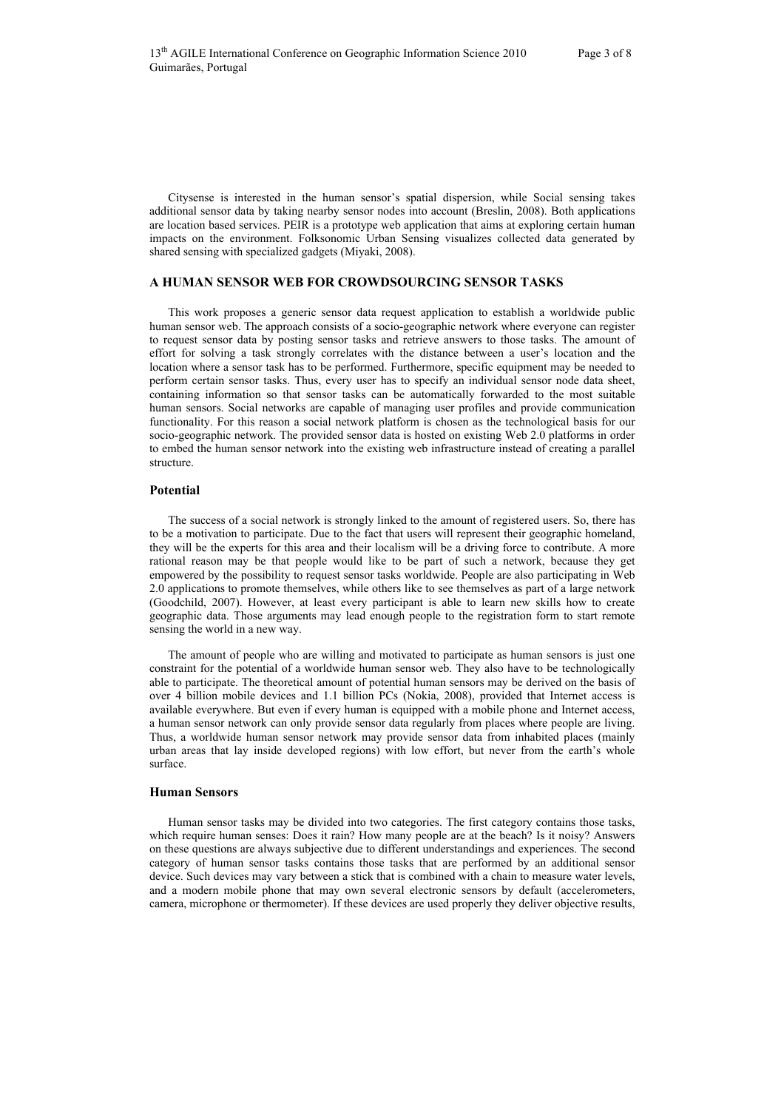Citysense is interested in the human sensor's spatial dispersion, while Social sensing takes additional sensor data by taking nearby sensor nodes into account (Breslin, 2008). Both applications are location based services. PEIR is a prototype web application that aims at exploring certain human impacts on the environment. Folksonomic Urban Sensing visualizes collected data generated by shared sensing with specialized gadgets (Miyaki, 2008).

## **A HUMAN SENSOR WEB FOR CROWDSOURCING SENSOR TASKS**

This work proposes a generic sensor data request application to establish a worldwide public human sensor web. The approach consists of a socio-geographic network where everyone can register to request sensor data by posting sensor tasks and retrieve answers to those tasks. The amount of effort for solving a task strongly correlates with the distance between a user's location and the location where a sensor task has to be performed. Furthermore, specific equipment may be needed to perform certain sensor tasks. Thus, every user has to specify an individual sensor node data sheet, containing information so that sensor tasks can be automatically forwarded to the most suitable human sensors. Social networks are capable of managing user profiles and provide communication functionality. For this reason a social network platform is chosen as the technological basis for our socio-geographic network. The provided sensor data is hosted on existing Web 2.0 platforms in order to embed the human sensor network into the existing web infrastructure instead of creating a parallel structure.

#### **Potential**

The success of a social network is strongly linked to the amount of registered users. So, there has to be a motivation to participate. Due to the fact that users will represent their geographic homeland, they will be the experts for this area and their localism will be a driving force to contribute. A more rational reason may be that people would like to be part of such a network, because they get empowered by the possibility to request sensor tasks worldwide. People are also participating in Web 2.0 applications to promote themselves, while others like to see themselves as part of a large network (Goodchild, 2007). However, at least every participant is able to learn new skills how to create geographic data. Those arguments may lead enough people to the registration form to start remote sensing the world in a new way.

The amount of people who are willing and motivated to participate as human sensors is just one constraint for the potential of a worldwide human sensor web. They also have to be technologically able to participate. The theoretical amount of potential human sensors may be derived on the basis of over 4 billion mobile devices and 1.1 billion PCs (Nokia, 2008), provided that Internet access is available everywhere. But even if every human is equipped with a mobile phone and Internet access, a human sensor network can only provide sensor data regularly from places where people are living. Thus, a worldwide human sensor network may provide sensor data from inhabited places (mainly urban areas that lay inside developed regions) with low effort, but never from the earth's whole surface.

#### **Human Sensors**

Human sensor tasks may be divided into two categories. The first category contains those tasks, which require human senses: Does it rain? How many people are at the beach? Is it noisy? Answers on these questions are always subjective due to different understandings and experiences. The second category of human sensor tasks contains those tasks that are performed by an additional sensor device. Such devices may vary between a stick that is combined with a chain to measure water levels, and a modern mobile phone that may own several electronic sensors by default (accelerometers, camera, microphone or thermometer). If these devices are used properly they deliver objective results,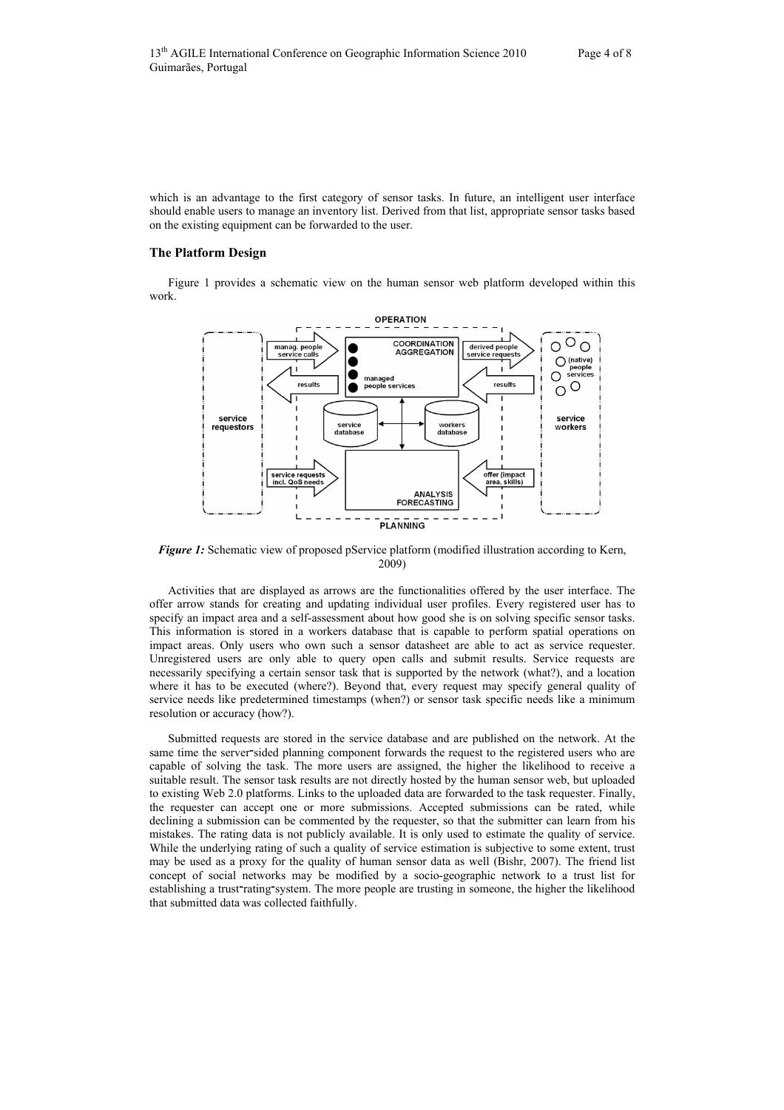which is an advantage to the first category of sensor tasks. In future, an intelligent user interface should enable users to manage an inventory list. Derived from that list, appropriate sensor tasks based on the existing equipment can be forwarded to the user.

# **The Platform Design**

Figure 1 provides a schematic view on the human sensor web platform developed within this work.



*Figure 1:* Schematic view of proposed pService platform (modified illustration according to Kern, 2009)

Activities that are displayed as arrows are the functionalities offered by the user interface. The offer arrow stands for creating and updating individual user profiles. Every registered user has to specify an impact area and a self-assessment about how good she is on solving specific sensor tasks. This information is stored in a workers database that is capable to perform spatial operations on impact areas. Only users who own such a sensor datasheet are able to act as service requester. Unregistered users are only able to query open calls and submit results. Service requests are necessarily specifying a certain sensor task that is supported by the network (what?), and a location where it has to be executed (where?). Beyond that, every request may specify general quality of service needs like predetermined timestamps (when?) or sensor task specific needs like a minimum resolution or accuracy (how?).

Submitted requests are stored in the service database and are published on the network. At the same time the server־sided planning component forwards the request to the registered users who are capable of solving the task. The more users are assigned, the higher the likelihood to receive a suitable result. The sensor task results are not directly hosted by the human sensor web, but uploaded to existing Web 2.0 platforms. Links to the uploaded data are forwarded to the task requester. Finally, the requester can accept one or more submissions. Accepted submissions can be rated, while declining a submission can be commented by the requester, so that the submitter can learn from his mistakes. The rating data is not publicly available. It is only used to estimate the quality of service. While the underlying rating of such a quality of service estimation is subjective to some extent, trust may be used as a proxy for the quality of human sensor data as well (Bishr, 2007). The friend list concept of social networks may be modified by a socio-geographic network to a trust list for establishing a trust־rating־system. The more people are trusting in someone, the higher the likelihood that submitted data was collected faithfully.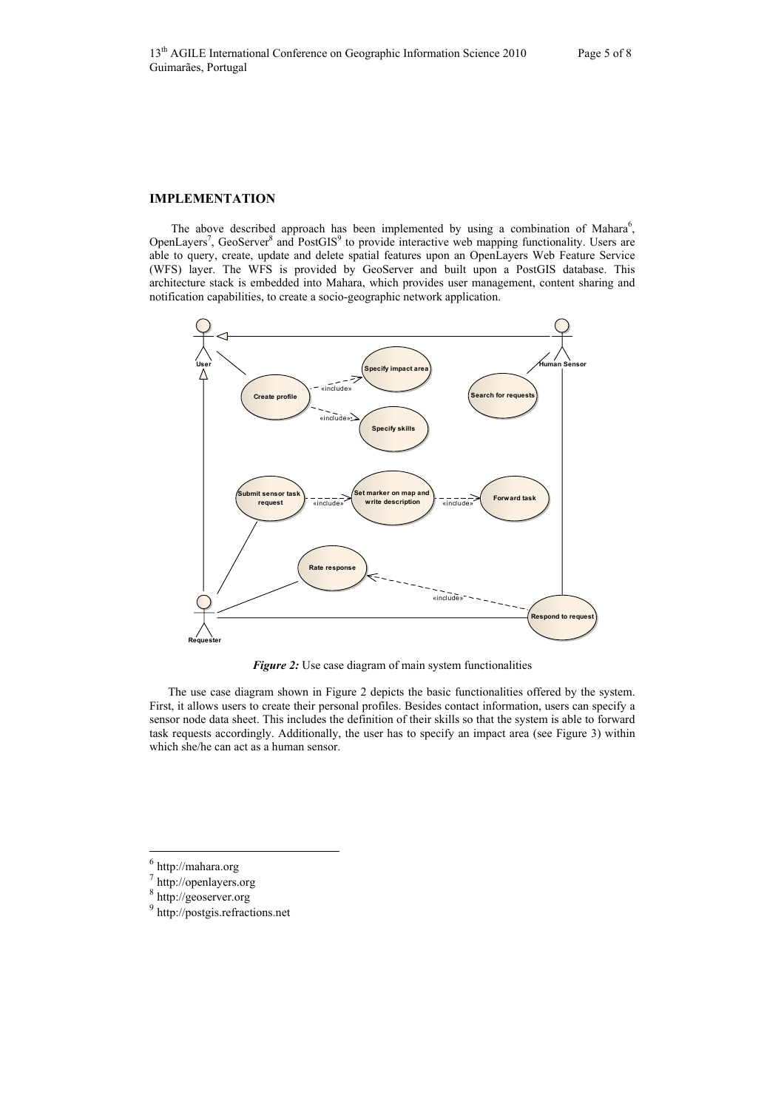# **IMPLEMENTATION**

The above described approach has been implemented by using a combination of Mahara<sup>6</sup>, OpenLayers<sup>7</sup>, GeoServer<sup>8</sup> and PostGIS<sup>9</sup> to provide interactive web mapping functionality. Users are able to query, create, update and delete spatial features upon an OpenLayers Web Feature Service (WFS) layer. The WFS is provided by GeoServer and built upon a PostGIS database. This architecture stack is embedded into Mahara, which provides user management, content sharing and notification capabilities, to create a socio-geographic network application.



*Figure 2:* Use case diagram of main system functionalities

The use case diagram shown in Figure 2 depicts the basic functionalities offered by the system. First, it allows users to create their personal profiles. Besides contact information, users can specify a sensor node data sheet. This includes the definition of their skills so that the system is able to forward task requests accordingly. Additionally, the user has to specify an impact area (see Figure 3) within which she/he can act as a human sensor.

 $\overline{a}$ 

 $^6$ http://mahara.org

<sup>7</sup> http://openlayers.org

<sup>&</sup>lt;sup>8</sup> http://geoserver.org

<sup>9</sup> http://postgis.refractions.net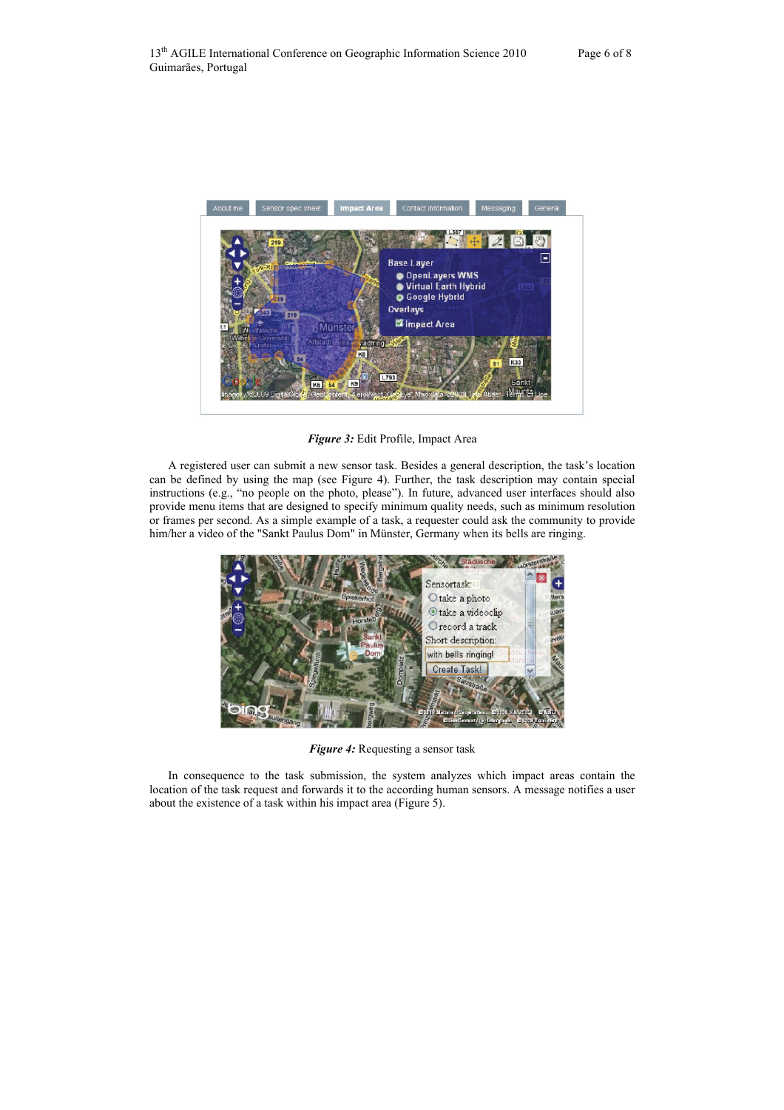

*Figure 3:* Edit Profile, Impact Area

A registered user can submit a new sensor task. Besides a general description, the task's location can be defined by using the map (see Figure 4). Further, the task description may contain special instructions (e.g., "no people on the photo, please"). In future, advanced user interfaces should also provide menu items that are designed to specify minimum quality needs, such as minimum resolution or frames per second. As a simple example of a task, a requester could ask the community to provide him/her a video of the "Sankt Paulus Dom" in Münster, Germany when its bells are ringing.



*Figure 4:* Requesting a sensor task

In consequence to the task submission, the system analyzes which impact areas contain the location of the task request and forwards it to the according human sensors. A message notifies a user about the existence of a task within his impact area (Figure 5).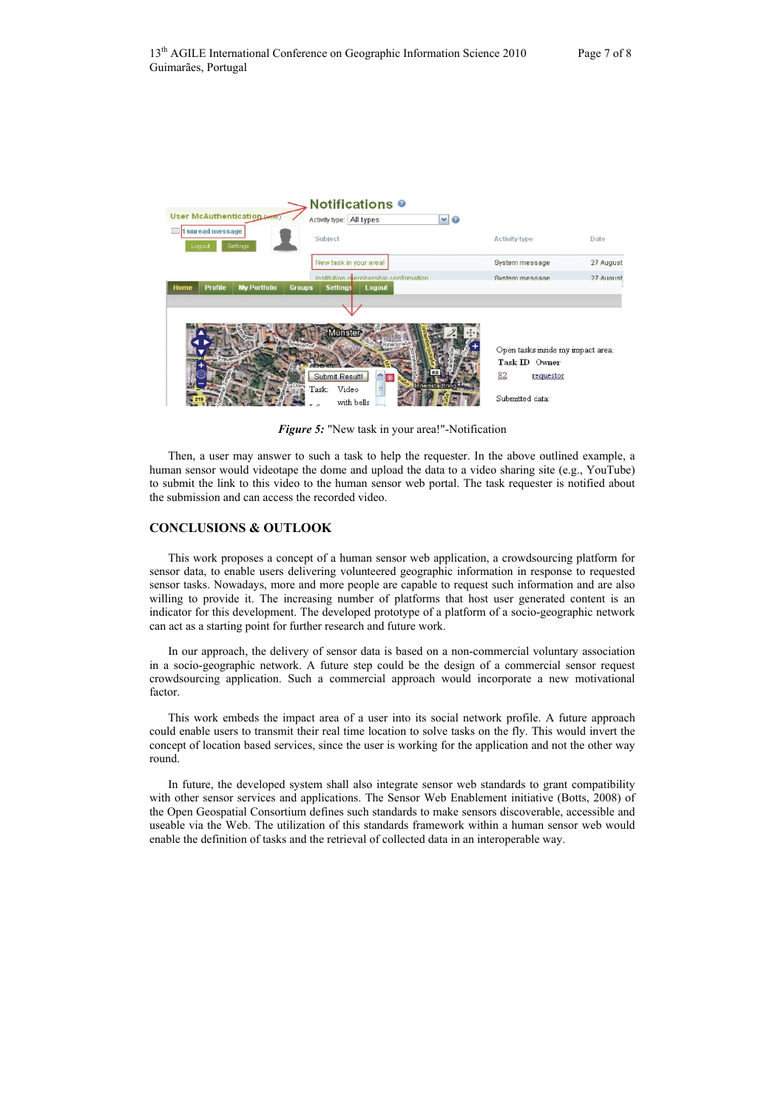

*Figure 5:* "New task in your area!"-Notification

Then, a user may answer to such a task to help the requester. In the above outlined example, a human sensor would videotape the dome and upload the data to a video sharing site (e.g., YouTube) to submit the link to this video to the human sensor web portal. The task requester is notified about the submission and can access the recorded video.

# **CONCLUSIONS & OUTLOOK**

This work proposes a concept of a human sensor web application, a crowdsourcing platform for sensor data, to enable users delivering volunteered geographic information in response to requested sensor tasks. Nowadays, more and more people are capable to request such information and are also willing to provide it. The increasing number of platforms that host user generated content is an indicator for this development. The developed prototype of a platform of a socio-geographic network can act as a starting point for further research and future work.

In our approach, the delivery of sensor data is based on a non-commercial voluntary association in a socio-geographic network. A future step could be the design of a commercial sensor request crowdsourcing application. Such a commercial approach would incorporate a new motivational factor.

This work embeds the impact area of a user into its social network profile. A future approach could enable users to transmit their real time location to solve tasks on the fly. This would invert the concept of location based services, since the user is working for the application and not the other way round.

In future, the developed system shall also integrate sensor web standards to grant compatibility with other sensor services and applications. The Sensor Web Enablement initiative (Botts, 2008) of the Open Geospatial Consortium defines such standards to make sensors discoverable, accessible and useable via the Web. The utilization of this standards framework within a human sensor web would enable the definition of tasks and the retrieval of collected data in an interoperable way.